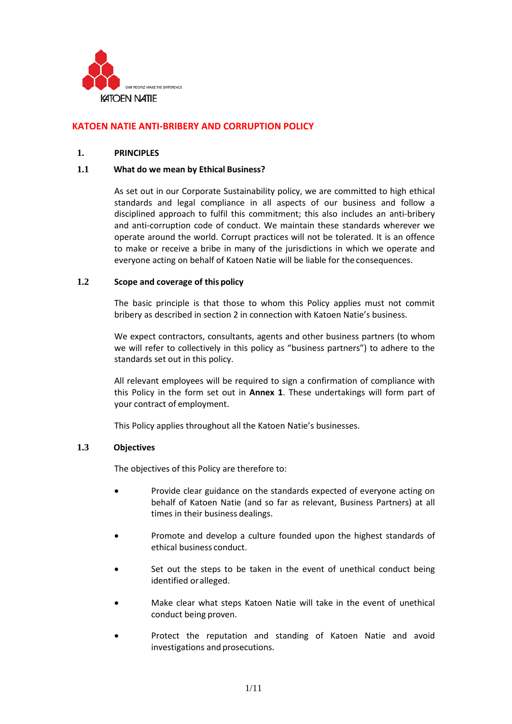

# **KATOEN NATIE ANTI-BRIBERY AND CORRUPTION POLICY**

### **1. PRINCIPLES**

### **1.1 What do we mean by Ethical Business?**

As set out in our Corporate Sustainability policy, we are committed to high ethical standards and legal compliance in all aspects of our business and follow a disciplined approach to fulfil this commitment; this also includes an anti-bribery and anti-corruption code of conduct. We maintain these standards wherever we operate around the world. Corrupt practices will not be tolerated. It is an offence to make or receive a bribe in many of the jurisdictions in which we operate and everyone acting on behalf of Katoen Natie will be liable for the consequences.

### **1.2 Scope and coverage of this policy**

The basic principle is that those to whom this Policy applies must not commit bribery as described in section 2 in connection with Katoen Natie's business.

We expect contractors, consultants, agents and other business partners (to whom we will refer to collectively in this policy as "business partners") to adhere to the standards set out in this policy.

All relevant employees will be required to sign a confirmation of compliance with this Policy in the form set out in **Annex 1**. These undertakings will form part of your contract of employment.

This Policy applies throughout all the Katoen Natie's businesses.

#### **1.3 Objectives**

The objectives of this Policy are therefore to:

- Provide clear guidance on the standards expected of everyone acting on behalf of Katoen Natie (and so far as relevant, Business Partners) at all times in their business dealings.
- Promote and develop a culture founded upon the highest standards of ethical business conduct.
- Set out the steps to be taken in the event of unethical conduct being identified oralleged.
- Make clear what steps Katoen Natie will take in the event of unethical conduct being proven.
- Protect the reputation and standing of Katoen Natie and avoid investigations and prosecutions.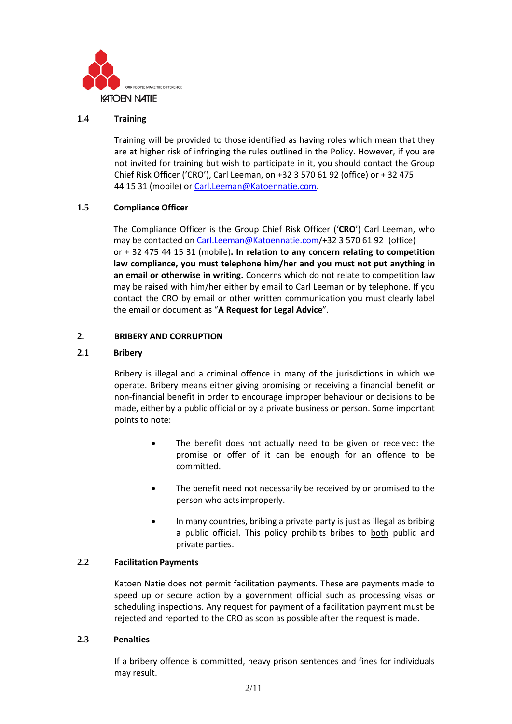

# **1.4 Training**

Training will be provided to those identified as having roles which mean that they are at higher risk of infringing the rules outlined in the Policy. However, if you are not invited for training but wish to participate in it, you should contact the Group Chief Risk Officer ('CRO'), Carl Leeman, on +32 3 570 61 92 (office) or + 32 475 44 15 31 (mobile) or [Carl.Leeman@Katoennatie.com.](mailto:Carl.Leeman@Katoennatie.com)

# **1.5 Compliance Officer**

The Compliance Officer is the Group Chief Risk Officer ('**CRO**') Carl Leeman, who may be contacted on Carl.Leeman@Katoennatie.com/+32 3 570 61 92 (office) or + 32 475 44 15 31 (mobile)**. In relation to any concern relating to competition law compliance, you must telephone him/her and you must not put anything in an email or otherwise in writing.** Concerns which do not relate to competition law may be raised with him/her either by email to Carl Leeman or by telephone. If you contact the CRO by email or other written communication you must clearly label the email or document as "**A Request for Legal Advice**".

# **2. BRIBERY AND CORRUPTION**

# **2.1 Bribery**

Bribery is illegal and a criminal offence in many of the jurisdictions in which we operate. Bribery means either giving promising or receiving a financial benefit or non-financial benefit in order to encourage improper behaviour or decisions to be made, either by a public official or by a private business or person. Some important points to note:

- The benefit does not actually need to be given or received: the promise or offer of it can be enough for an offence to be committed.
- The benefit need not necessarily be received by or promised to the person who actsimproperly.
- In many countries, bribing a private party is just as illegal as bribing a public official. This policy prohibits bribes to both public and private parties.

### **2.2 Facilitation Payments**

Katoen Natie does not permit facilitation payments. These are payments made to speed up or secure action by a government official such as processing visas or scheduling inspections. Any request for payment of a facilitation payment must be rejected and reported to the CRO as soon as possible after the request is made.

### **2.3 Penalties**

If a bribery offence is committed, heavy prison sentences and fines for individuals may result.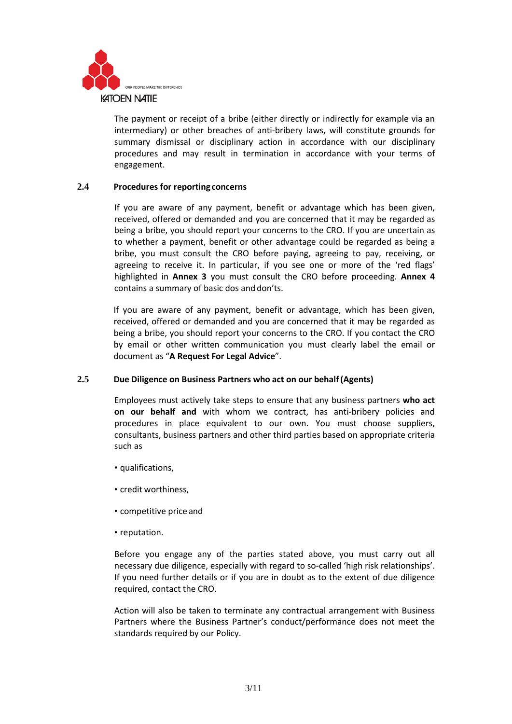

The payment or receipt of a bribe (either directly or indirectly for example via an intermediary) or other breaches of anti-bribery laws, will constitute grounds for summary dismissal or disciplinary action in accordance with our disciplinary procedures and may result in termination in accordance with your terms of engagement.

# **2.4 Procedures for reporting concerns**

If you are aware of any payment, benefit or advantage which has been given, received, offered or demanded and you are concerned that it may be regarded as being a bribe, you should report your concerns to the CRO. If you are uncertain as to whether a payment, benefit or other advantage could be regarded as being a bribe, you must consult the CRO before paying, agreeing to pay, receiving, or agreeing to receive it. In particular, if you see one or more of the 'red flags' highlighted in **Annex 3** you must consult the CRO before proceeding. **Annex 4**  contains a summary of basic dos and don'ts.

If you are aware of any payment, benefit or advantage, which has been given, received, offered or demanded and you are concerned that it may be regarded as being a bribe, you should report your concerns to the CRO. If you contact the CRO by email or other written communication you must clearly label the email or document as "**A Request For Legal Advice**".

### **2.5 Due Diligence on Business Partners who act on our behalf(Agents)**

Employees must actively take steps to ensure that any business partners **who act on our behalf and** with whom we contract, has anti-bribery policies and procedures in place equivalent to our own. You must choose suppliers, consultants, business partners and other third parties based on appropriate criteria such as

- qualifications,
- credit worthiness,
- competitive price and
- reputation.

Before you engage any of the parties stated above, you must carry out all necessary due diligence, especially with regard to so-called 'high risk relationships'. If you need further details or if you are in doubt as to the extent of due diligence required, contact the CRO.

Action will also be taken to terminate any contractual arrangement with Business Partners where the Business Partner's conduct/performance does not meet the standards required by our Policy.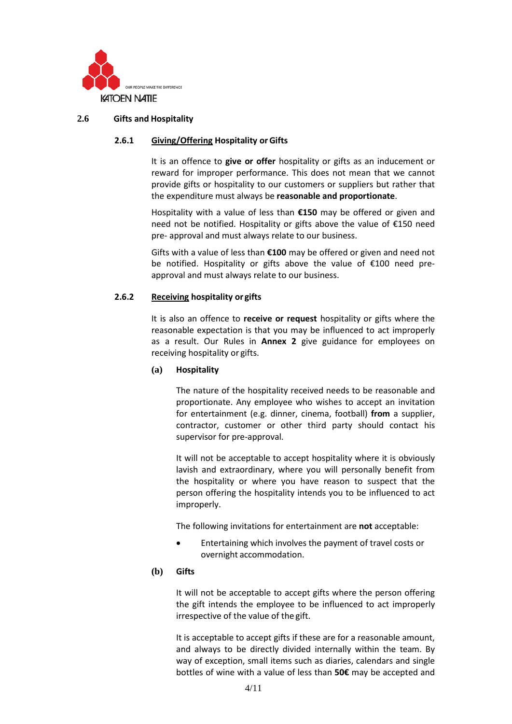

# **2.6 Gifts and Hospitality**

# **2.6.1 Giving/Offering Hospitality orGifts**

It is an offence to **give or offer** hospitality or gifts as an inducement or reward for improper performance. This does not mean that we cannot provide gifts or hospitality to our customers or suppliers but rather that the expenditure must always be **reasonable and proportionate**.

Hospitality with a value of less than **€150** may be offered or given and need not be notified. Hospitality or gifts above the value of €150 need pre- approval and must always relate to our business.

Gifts with a value of less than **€100** may be offered or given and need not be notified. Hospitality or gifts above the value of €100 need preapproval and must always relate to our business.

### **2.6.2 Receiving hospitality or gifts**

It is also an offence to **receive or request** hospitality or gifts where the reasonable expectation is that you may be influenced to act improperly as a result. Our Rules in **Annex 2** give guidance for employees on receiving hospitality or gifts.

### **(a) Hospitality**

The nature of the hospitality received needs to be reasonable and proportionate. Any employee who wishes to accept an invitation for entertainment (e.g. dinner, cinema, football) **from** a supplier, contractor, customer or other third party should contact his supervisor for pre-approval.

It will not be acceptable to accept hospitality where it is obviously lavish and extraordinary, where you will personally benefit from the hospitality or where you have reason to suspect that the person offering the hospitality intends you to be influenced to act improperly.

The following invitations for entertainment are **not** acceptable:

• Entertaining which involves the payment of travel costs or overnight accommodation.

### **(b) Gifts**

It will not be acceptable to accept gifts where the person offering the gift intends the employee to be influenced to act improperly irrespective of the value of the gift.

It is acceptable to accept gifts if these are for a reasonable amount, and always to be directly divided internally within the team. By way of exception, small items such as diaries, calendars and single bottles of wine with a value of less than **50€** may be accepted and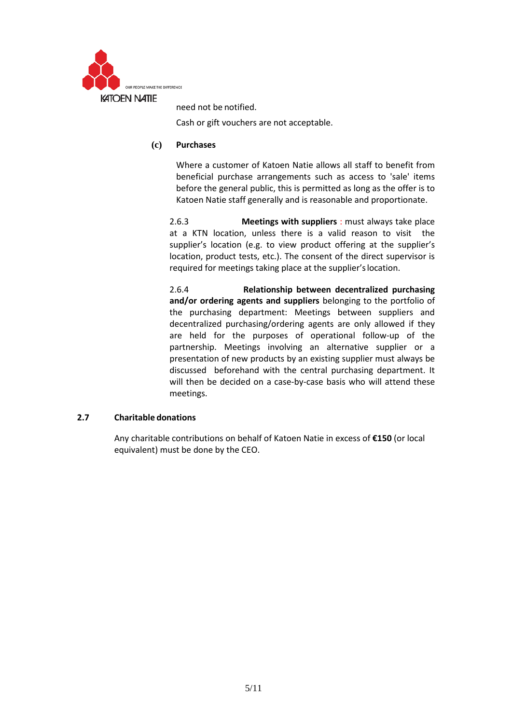

need not be notified.

Cash or gift vouchers are not acceptable.

# **(c) Purchases**

Where a customer of Katoen Natie allows all staff to benefit from beneficial purchase arrangements such as access to 'sale' items before the general public, this is permitted as long as the offer is to Katoen Natie staff generally and is reasonable and proportionate.

2.6.3 **Meetings with suppliers** : must always take place at a KTN location, unless there is a valid reason to visit the supplier's location (e.g. to view product offering at the supplier's location, product tests, etc.). The consent of the direct supervisor is required for meetings taking place at the supplier'slocation.

2.6.4 **Relationship between decentralized purchasing and/or ordering agents and suppliers** belonging to the portfolio of the purchasing department: Meetings between suppliers and decentralized purchasing/ordering agents are only allowed if they are held for the purposes of operational follow-up of the partnership. Meetings involving an alternative supplier or a presentation of new products by an existing supplier must always be discussed beforehand with the central purchasing department. It will then be decided on a case-by-case basis who will attend these meetings.

### **2.7 Charitable donations**

Any charitable contributions on behalf of Katoen Natie in excess of **€150** (or local equivalent) must be done by the CEO.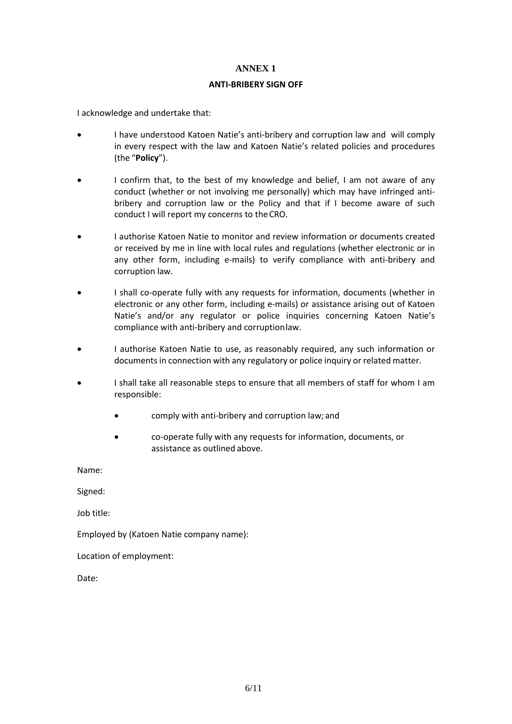### **ANTI-BRIBERY SIGN OFF**

I acknowledge and undertake that:

- I have understood Katoen Natie's anti-bribery and corruption law and will comply in every respect with the law and Katoen Natie's related policies and procedures (the "**Policy**").
- I confirm that, to the best of my knowledge and belief, I am not aware of any conduct (whether or not involving me personally) which may have infringed antibribery and corruption law or the Policy and that if I become aware of such conduct I will report my concerns to theCRO.
- I authorise Katoen Natie to monitor and review information or documents created or received by me in line with local rules and regulations (whether electronic or in any other form, including e-mails) to verify compliance with anti-bribery and corruption law.
- I shall co-operate fully with any requests for information, documents (whether in electronic or any other form, including e-mails) or assistance arising out of Katoen Natie's and/or any regulator or police inquiries concerning Katoen Natie's compliance with anti-bribery and corruptionlaw.
- I authorise Katoen Natie to use, as reasonably required, any such information or documents in connection with any regulatory or police inquiry or related matter.
- I shall take all reasonable steps to ensure that all members of staff for whom I am responsible:
	- comply with anti-bribery and corruption law; and
	- co-operate fully with any requests for information, documents, or assistance as outlined above.

Name:

Signed:

Job title:

Employed by (Katoen Natie company name):

Location of employment:

Date: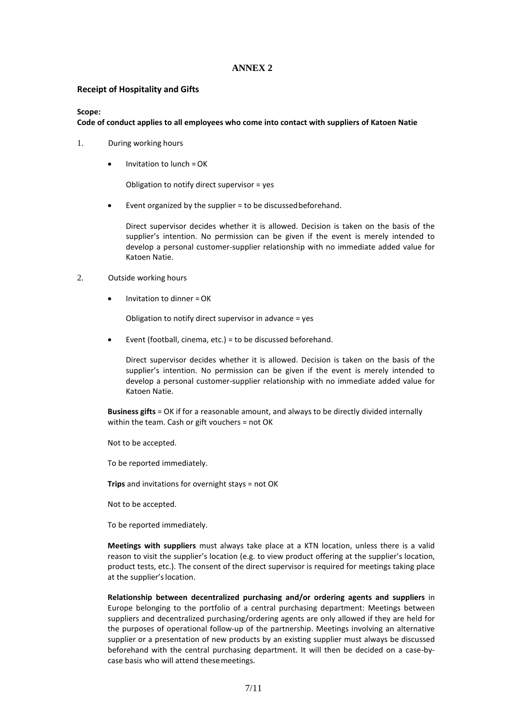#### **Receipt of Hospitality and Gifts**

#### **Scope:**

#### **Code of conduct applies to all employees who come into contact with suppliers of Katoen Natie**

- 1. During working hours
	- Invitation to lunch =OK

Obligation to notify direct supervisor = yes

• Event organized by the supplier = to be discussedbeforehand.

Direct supervisor decides whether it is allowed. Decision is taken on the basis of the supplier's intention. No permission can be given if the event is merely intended to develop a personal customer-supplier relationship with no immediate added value for Katoen Natie.

#### 2. Outside working hours

• Invitation to dinner =OK

Obligation to notify direct supervisor in advance = yes

• Event (football, cinema, etc.) = to be discussed beforehand.

Direct supervisor decides whether it is allowed. Decision is taken on the basis of the supplier's intention. No permission can be given if the event is merely intended to develop a personal customer-supplier relationship with no immediate added value for Katoen Natie.

**Business gifts** = OK if for a reasonable amount, and always to be directly divided internally within the team. Cash or gift vouchers = not OK

Not to be accepted.

To be reported immediately.

**Trips** and invitations for overnight stays = not OK

Not to be accepted.

To be reported immediately.

**Meetings with suppliers** must always take place at a KTN location, unless there is a valid reason to visit the supplier's location (e.g. to view product offering at the supplier's location, product tests, etc.). The consent of the direct supervisor is required for meetings taking place at the supplier'slocation.

**Relationship between decentralized purchasing and/or ordering agents and suppliers** in Europe belonging to the portfolio of a central purchasing department: Meetings between suppliers and decentralized purchasing/ordering agents are only allowed if they are held for the purposes of operational follow-up of the partnership. Meetings involving an alternative supplier or a presentation of new products by an existing supplier must always be discussed beforehand with the central purchasing department. It will then be decided on a case-bycase basis who will attend thesemeetings.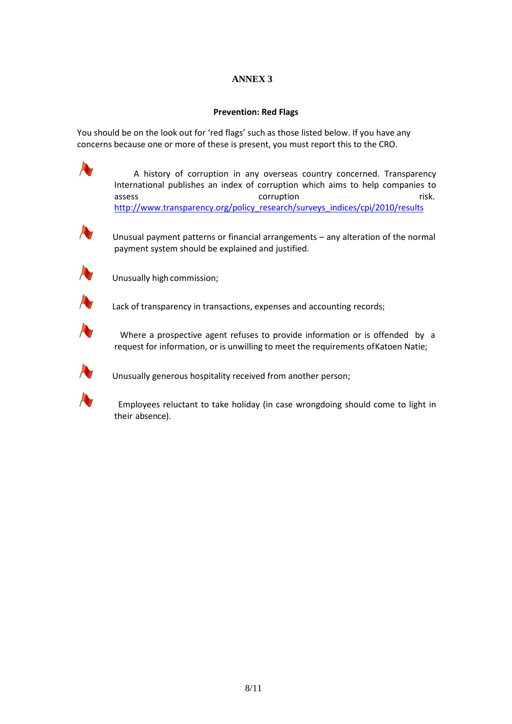# **Prevention: Red Flags**

You should be on the look out for 'red flags' such as those listed below. If you have any concerns because one or more of these is present, you must report this to the CRO.

> A history of corruption in any overseas country concerned. Transparency International publishes an index of corruption which aims to help companies to assess and the corruption of the corruption of the contract of the contract of the contract of the contract of the contract of the contract of the contract of the contract of the contract of the contract of the contract of [http://www.transparency.org/policy\\_research/surveys\\_indices/cpi/2010/results](http://www.transparency.org/policy_research/surveys_indices/cpi/2010/results)



 Unusual payment patterns or financial arrangements – any alteration of the normal payment system should be explained and justified.



Unusually high commission;



Lack of transparency in transactions, expenses and accounting records;



 Where a prospective agent refuses to provide information or is offended by a request for information, or is unwilling to meet the requirements ofKatoen Natie;



Unusually generous hospitality received from another person;



 Employees reluctant to take holiday (in case wrongdoing should come to light in their absence).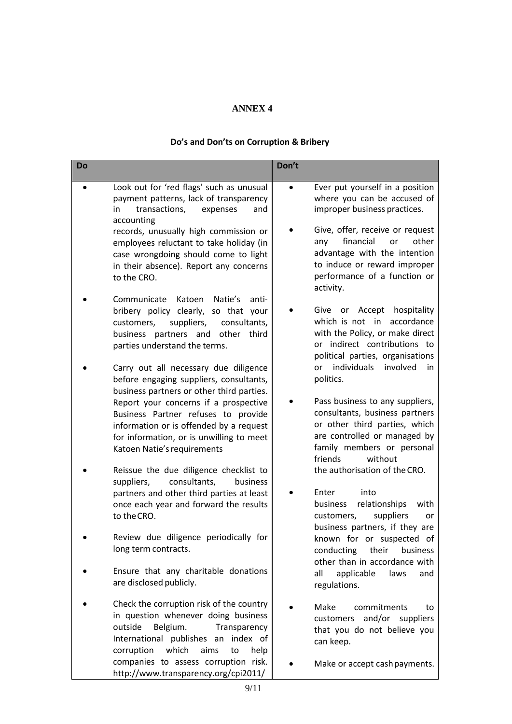# **Do's and Don'ts on Corruption & Bribery**

| Do |                                                                                                                                                                                                            | Don't     |                                                                                                                                                                                        |
|----|------------------------------------------------------------------------------------------------------------------------------------------------------------------------------------------------------------|-----------|----------------------------------------------------------------------------------------------------------------------------------------------------------------------------------------|
|    | Look out for 'red flags' such as unusual<br>payment patterns, lack of transparency<br>transactions,<br>in<br>expenses<br>and<br>accounting                                                                 | $\bullet$ | Ever put yourself in a position<br>where you can be accused of<br>improper business practices.                                                                                         |
|    | records, unusually high commission or<br>employees reluctant to take holiday (in<br>case wrongdoing should come to light<br>in their absence). Report any concerns<br>to the CRO.                          |           | Give, offer, receive or request<br>financial<br>other<br>or<br>any<br>advantage with the intention<br>to induce or reward improper<br>performance of a function or<br>activity.        |
|    | Katoen<br>Natie's<br>Communicate<br>anti-<br>bribery policy clearly, so that your<br>suppliers,<br>consultants,<br>customers,<br>other third<br>business partners and<br>parties understand the terms.     |           | Accept<br>hospitality<br>Give<br>or<br>which is not in<br>accordance<br>with the Policy, or make direct<br>or indirect contributions to<br>political parties, organisations            |
|    | Carry out all necessary due diligence<br>before engaging suppliers, consultants,<br>business partners or other third parties.                                                                              |           | individuals<br>involved<br>in<br>or<br>politics.                                                                                                                                       |
|    | Report your concerns if a prospective<br>Business Partner refuses to provide<br>information or is offended by a request<br>for information, or is unwilling to meet<br>Katoen Natie's requirements         |           | Pass business to any suppliers,<br>consultants, business partners<br>or other third parties, which<br>are controlled or managed by<br>family members or personal<br>friends<br>without |
|    | Reissue the due diligence checklist to<br>consultants,<br>suppliers,<br>business                                                                                                                           |           | the authorisation of the CRO.                                                                                                                                                          |
|    | partners and other third parties at least<br>once each year and forward the results<br>to the CRO.                                                                                                         |           | Enter<br>into<br>business<br>relationships<br>with<br>suppliers<br>customers,<br>or<br>business partners, if they are                                                                  |
|    | Review due diligence periodically for<br>long term contracts.                                                                                                                                              |           | known for or suspected of<br>conducting<br>their<br>business<br>other than in accordance with                                                                                          |
|    | Ensure that any charitable donations<br>are disclosed publicly.                                                                                                                                            |           | applicable<br>all<br>laws<br>and<br>regulations.                                                                                                                                       |
|    | Check the corruption risk of the country<br>in question whenever doing business<br>outside<br>Belgium.<br>Transparency<br>International publishes an index of<br>corruption<br>which<br>aims<br>help<br>to |           | Make<br>commitments<br>to<br>and/or<br>customers<br>suppliers<br>that you do not believe you<br>can keep.                                                                              |
|    | companies to assess corruption risk.<br>http://www.transparency.org/cpi2011/                                                                                                                               |           | Make or accept cash payments.                                                                                                                                                          |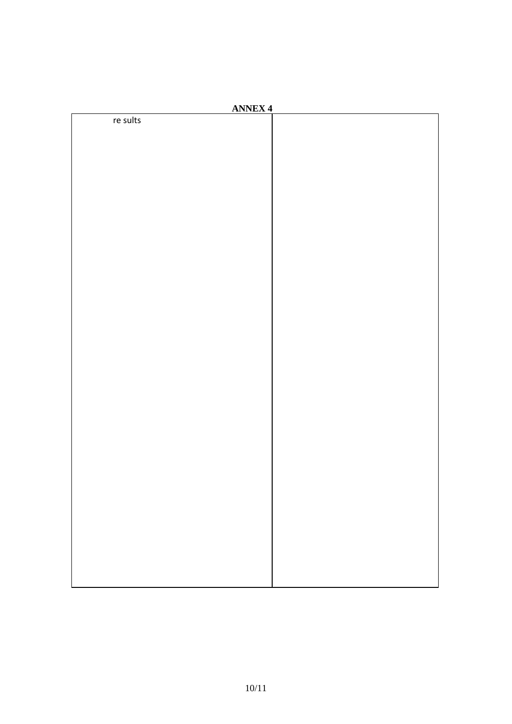| <b>ANNEX 4</b> |  |  |  |  |  |
|----------------|--|--|--|--|--|
| re sults       |  |  |  |  |  |
|                |  |  |  |  |  |
|                |  |  |  |  |  |
|                |  |  |  |  |  |
|                |  |  |  |  |  |
|                |  |  |  |  |  |
|                |  |  |  |  |  |
|                |  |  |  |  |  |
|                |  |  |  |  |  |
|                |  |  |  |  |  |
|                |  |  |  |  |  |
|                |  |  |  |  |  |
|                |  |  |  |  |  |
|                |  |  |  |  |  |
|                |  |  |  |  |  |
|                |  |  |  |  |  |
|                |  |  |  |  |  |
|                |  |  |  |  |  |
|                |  |  |  |  |  |
|                |  |  |  |  |  |
|                |  |  |  |  |  |
|                |  |  |  |  |  |
|                |  |  |  |  |  |
|                |  |  |  |  |  |
|                |  |  |  |  |  |
|                |  |  |  |  |  |
|                |  |  |  |  |  |
|                |  |  |  |  |  |
|                |  |  |  |  |  |
|                |  |  |  |  |  |
|                |  |  |  |  |  |
|                |  |  |  |  |  |
|                |  |  |  |  |  |
|                |  |  |  |  |  |
|                |  |  |  |  |  |
|                |  |  |  |  |  |
|                |  |  |  |  |  |
|                |  |  |  |  |  |
|                |  |  |  |  |  |
|                |  |  |  |  |  |
|                |  |  |  |  |  |
|                |  |  |  |  |  |
|                |  |  |  |  |  |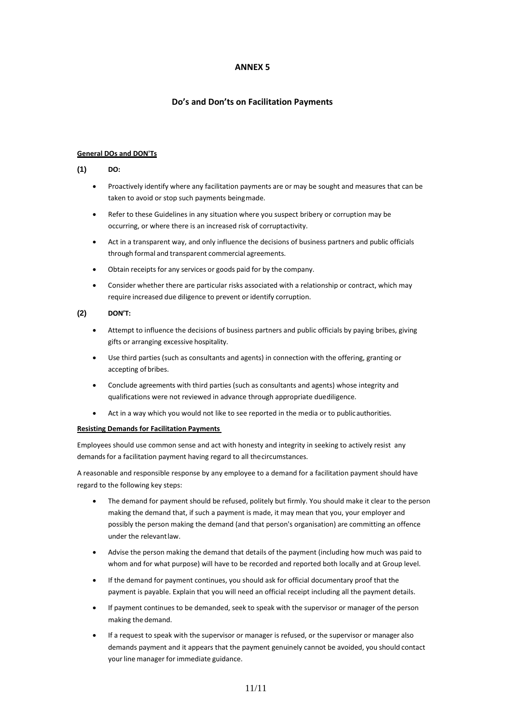### **Do's and Don'ts on Facilitation Payments**

#### **General DOs and DON'Ts**

#### **(1) DO:**

- Proactively identify where any facilitation payments are or may be sought and measures that can be taken to avoid or stop such payments beingmade.
- Refer to these Guidelines in any situation where you suspect bribery or corruption may be occurring, or where there is an increased risk of corruptactivity.
- Act in a transparent way, and only influence the decisions of business partners and public officials through formal and transparent commercial agreements.
- Obtain receipts for any services or goods paid for by the company.
- Consider whether there are particular risks associated with a relationship or contract, which may require increased due diligence to prevent or identify corruption.

#### **(2) DON'T:**

- Attempt to influence the decisions of business partners and public officials by paying bribes, giving gifts or arranging excessive hospitality.
- Use third parties (such as consultants and agents) in connection with the offering, granting or accepting of bribes.
- Conclude agreements with third parties (such as consultants and agents) whose integrity and qualifications were not reviewed in advance through appropriate duediligence.
- Act in a way which you would not like to see reported in the media or to publicauthorities.

#### **Resisting Demands for Facilitation Payments**

Employees should use common sense and act with honesty and integrity in seeking to actively resist any demands for a facilitation payment having regard to all thecircumstances.

A reasonable and responsible response by any employee to a demand for a facilitation payment should have regard to the following key steps:

- The demand for payment should be refused, politely but firmly. You should make it clear to the person making the demand that, if such a payment is made, it may mean that you, your employer and possibly the person making the demand (and that person's organisation) are committing an offence under the relevantlaw.
- Advise the person making the demand that details of the payment (including how much was paid to whom and for what purpose) will have to be recorded and reported both locally and at Group level.
- If the demand for payment continues, you should ask for official documentary proof that the payment is payable. Explain that you will need an official receipt including all the payment details.
- If payment continues to be demanded, seek to speak with the supervisor or manager of the person making the demand.
- If a request to speak with the supervisor or manager is refused, or the supervisor or manager also demands payment and it appears that the payment genuinely cannot be avoided, you should contact your line manager for immediate guidance.